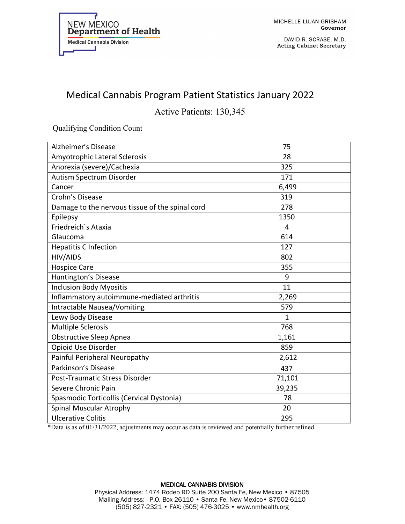

DAVID R. SCRASE, M.D. **Acting Cabinet Secretary** 

## Medical Cannabis Program Patient Statistics January 2022

## Active Patients: 130,345

Qualifying Condition Count

| Alzheimer's Disease                             | 75     |
|-------------------------------------------------|--------|
| Amyotrophic Lateral Sclerosis                   | 28     |
| Anorexia (severe)/Cachexia                      | 325    |
| Autism Spectrum Disorder                        | 171    |
| Cancer                                          | 6,499  |
| Crohn's Disease                                 | 319    |
| Damage to the nervous tissue of the spinal cord | 278    |
| Epilepsy                                        | 1350   |
| Friedreich's Ataxia                             | 4      |
| Glaucoma                                        | 614    |
| <b>Hepatitis C Infection</b>                    | 127    |
| HIV/AIDS                                        | 802    |
| <b>Hospice Care</b>                             | 355    |
| Huntington's Disease                            | 9      |
| <b>Inclusion Body Myositis</b>                  | 11     |
| Inflammatory autoimmune-mediated arthritis      | 2,269  |
| <b>Intractable Nausea/Vomiting</b>              | 579    |
| Lewy Body Disease                               | 1      |
| <b>Multiple Sclerosis</b>                       | 768    |
| <b>Obstructive Sleep Apnea</b>                  | 1,161  |
| Opioid Use Disorder                             | 859    |
| Painful Peripheral Neuropathy                   | 2,612  |
| Parkinson's Disease                             | 437    |
| Post-Traumatic Stress Disorder                  | 71,101 |
| Severe Chronic Pain                             | 39,235 |
| Spasmodic Torticollis (Cervical Dystonia)       | 78     |
| Spinal Muscular Atrophy                         | 20     |
| <b>Ulcerative Colitis</b>                       | 295    |

\*Data is as of 01/31/2022, adjustments may occur as data is reviewed and potentially further refined.

## MEDICAL CANNABIS DIVISION Physical Address: 1474 Rodeo RD Suite 200 Santa Fe, New Mexico • 87505 Mailing Address: P.O. Box 26110 • Santa Fe, New Mexico• 87502-6110 (505) 827-2321 • FAX: (505) 476-3025 • www.nmhealth.org